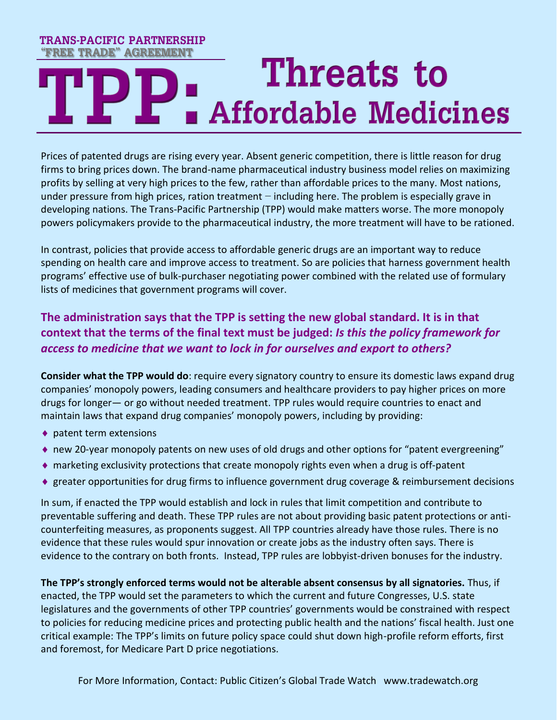# **TRANS-PACIFIC PARTNERSHIP "FREE TRADE" AGREEMENTThreats to Affordable Medicines**

Prices of patented drugs are rising every year. Absent generic competition, there is little reason for drug firms to bring prices down. The brand-name pharmaceutical industry business model relies on maximizing profits by selling at very high prices to the few, rather than affordable prices to the many. Most nations, under pressure from high prices, ration treatment – including here. The problem is especially grave in developing nations. The Trans-Pacific Partnership (TPP) would make matters worse. The more monopoly powers policymakers provide to the pharmaceutical industry, the more treatment will have to be rationed.

In contrast, policies that provide access to affordable generic drugs are an important way to reduce spending on health care and improve access to treatment. So are policies that harness government health programs' effective use of bulk-purchaser negotiating power combined with the related use of formulary lists of medicines that government programs will cover.

### **The administration says that the TPP is setting the new global standard. It is in that context that the terms of the final text must be judged:** *Is this the policy framework for access to medicine that we want to lock in for ourselves and export to others?*

**Consider what the TPP would do**: require every signatory country to ensure its domestic laws expand drug companies' monopoly powers, leading consumers and healthcare providers to pay higher prices on more drugs for longer— or go without needed treatment. TPP rules would require countries to enact and maintain laws that expand drug companies' monopoly powers, including by providing:

- ◆ patent term extensions
- new 20-year monopoly patents on new uses of old drugs and other options for "patent evergreening"
- $\bullet$  marketing exclusivity protections that create monopoly rights even when a drug is off-patent
- ♦ greater opportunities for drug firms to influence government drug coverage & reimbursement decisions

In sum, if enacted the TPP would establish and lock in rules that limit competition and contribute to preventable suffering and death. These TPP rules are not about providing basic patent protections or anticounterfeiting measures, as proponents suggest. All TPP countries already have those rules. There is no evidence that these rules would spur innovation or create jobs as the industry often says. There is evidence to the contrary on both fronts. Instead, TPP rules are lobbyist-driven bonuses for the industry.

**The TPP's strongly enforced terms would not be alterable absent consensus by all signatories.** Thus, if enacted, the TPP would set the parameters to which the current and future Congresses, U.S. state legislatures and the governments of other TPP countries' governments would be constrained with respect to policies for reducing medicine prices and protecting public health and the nations' fiscal health. Just one critical example: The TPP's limits on future policy space could shut down high-profile reform efforts, first and foremost, for Medicare Part D price negotiations.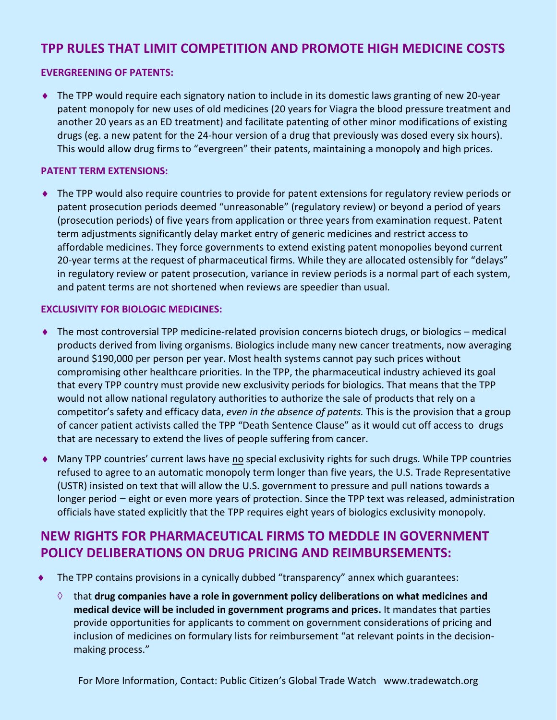### **TPP RULES THAT LIMIT COMPETITION AND PROMOTE HIGH MEDICINE COSTS**

#### **EVERGREENING OF PATENTS:**

 The TPP would require each signatory nation to include in its domestic laws granting of new 20-year patent monopoly for new uses of old medicines (20 years for Viagra the blood pressure treatment and another 20 years as an ED treatment) and facilitate patenting of other minor modifications of existing drugs (eg. a new patent for the 24-hour version of a drug that previously was dosed every six hours). This would allow drug firms to "evergreen" their patents, maintaining a monopoly and high prices.

#### **PATENT TERM EXTENSIONS:**

 The TPP would also require countries to provide for patent extensions for regulatory review periods or patent prosecution periods deemed "unreasonable" (regulatory review) or beyond a period of years (prosecution periods) of five years from application or three years from examination request. Patent term adjustments significantly delay market entry of generic medicines and restrict access to affordable medicines. They force governments to extend existing patent monopolies beyond current 20-year terms at the request of pharmaceutical firms. While they are allocated ostensibly for "delays" in regulatory review or patent prosecution, variance in review periods is a normal part of each system, and patent terms are not shortened when reviews are speedier than usual.

#### **EXCLUSIVITY FOR BIOLOGIC MEDICINES:**

- ◆ The most controversial TPP medicine-related provision concerns biotech drugs, or biologics medical products derived from living organisms. Biologics include many new cancer treatments, now averaging around \$190,000 per person per year. Most health systems cannot pay such prices without compromising other healthcare priorities. In the TPP, the pharmaceutical industry achieved its goal that every TPP country must provide new exclusivity periods for biologics. That means that the TPP would not allow national regulatory authorities to authorize the sale of products that rely on a competitor's safety and efficacy data, *even in the absence of patents.* This is the provision that a group of cancer patient activists called the TPP "Death Sentence Clause" as it would cut off access to drugs that are necessary to extend the lives of people suffering from cancer.
- ◆ Many TPP countries' current laws have no special exclusivity rights for such drugs. While TPP countries refused to agree to an automatic monopoly term longer than five years, the U.S. Trade Representative (USTR) insisted on text that will allow the U.S. government to pressure and pull nations towards a longer period − eight or even more years of protection. Since the TPP text was released, administration officials have stated explicitly that the TPP requires eight years of biologics exclusivity monopoly.

### **NEW RIGHTS FOR PHARMACEUTICAL FIRMS TO MEDDLE IN GOVERNMENT POLICY DELIBERATIONS ON DRUG PRICING AND REIMBURSEMENTS:**

- The TPP contains provisions in a cynically dubbed "transparency" annex which guarantees:
	- that **drug companies have a role in government policy deliberations on what medicines and medical device will be included in government programs and prices.** It mandates that parties provide opportunities for applicants to comment on government considerations of pricing and inclusion of medicines on formulary lists for reimbursement "at relevant points in the decisionmaking process."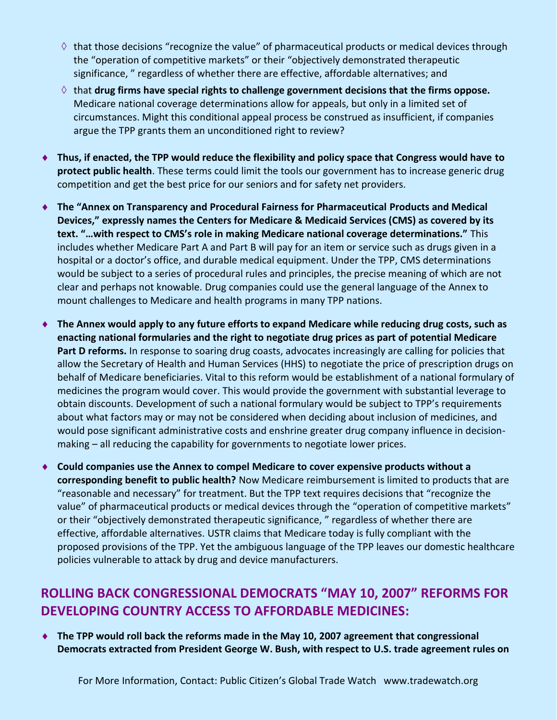- $\Diamond$  that those decisions "recognize the value" of pharmaceutical products or medical devices through the "operation of competitive markets" or their "objectively demonstrated therapeutic significance, " regardless of whether there are effective, affordable alternatives; and
- $\Diamond$  that **drug firms have special rights to challenge government decisions that the firms oppose.** Medicare national coverage determinations allow for appeals, but only in a limited set of circumstances. Might this conditional appeal process be construed as insufficient, if companies argue the TPP grants them an unconditioned right to review?
- ◆ Thus, if enacted, the TPP would reduce the flexibility and policy space that Congress would have to **protect public health**. These terms could limit the tools our government has to increase generic drug competition and get the best price for our seniors and for safety net providers.
- **The "Annex on Transparency and Procedural Fairness for Pharmaceutical Products and Medical Devices," expressly names the Centers for Medicare & Medicaid Services (CMS) as covered by its text. "…with respect to CMS's role in making Medicare national coverage determinations."** This includes whether Medicare Part A and Part B will pay for an item or service such as drugs given in a hospital or a doctor's office, and durable medical equipment. Under the TPP, CMS determinations would be subject to a series of procedural rules and principles, the precise meaning of which are not clear and perhaps not knowable. Drug companies could use the general language of the Annex to mount challenges to Medicare and health programs in many TPP nations.
- ◆ The Annex would apply to any future efforts to expand Medicare while reducing drug costs, such as **enacting national formularies and the right to negotiate drug prices as part of potential Medicare Part D reforms.** In response to soaring drug coasts, advocates increasingly are calling for policies that allow the Secretary of Health and Human Services (HHS) to negotiate the price of prescription drugs on behalf of Medicare beneficiaries. Vital to this reform would be establishment of a national formulary of medicines the program would cover. This would provide the government with substantial leverage to obtain discounts. Development of such a national formulary would be subject to TPP's requirements about what factors may or may not be considered when deciding about inclusion of medicines, and would pose significant administrative costs and enshrine greater drug company influence in decisionmaking – all reducing the capability for governments to negotiate lower prices.
- **Could companies use the Annex to compel Medicare to cover expensive products without a corresponding benefit to public health?** Now Medicare reimbursement is limited to products that are "reasonable and necessary" for treatment. But the TPP text requires decisions that "recognize the value" of pharmaceutical products or medical devices through the "operation of competitive markets" or their "objectively demonstrated therapeutic significance, " regardless of whether there are effective, affordable alternatives. USTR claims that Medicare today is fully compliant with the proposed provisions of the TPP. Yet the ambiguous language of the TPP leaves our domestic healthcare policies vulnerable to attack by drug and device manufacturers.

# **ROLLING BACK CONGRESSIONAL DEMOCRATS "MAY 10, 2007" REFORMS FOR DEVELOPING COUNTRY ACCESS TO AFFORDABLE MEDICINES:**

◆ The TPP would roll back the reforms made in the May 10, 2007 agreement that congressional **Democrats extracted from President George W. Bush, with respect to U.S. trade agreement rules on**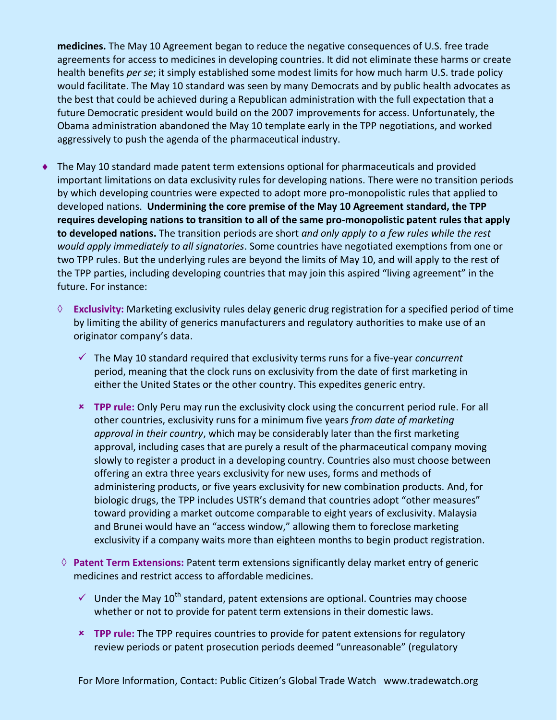**medicines.** The May 10 Agreement began to reduce the negative consequences of U.S. free trade agreements for access to medicines in developing countries. It did not eliminate these harms or create health benefits *per se*; it simply established some modest limits for how much harm U.S. trade policy would facilitate. The May 10 standard was seen by many Democrats and by public health advocates as the best that could be achieved during a Republican administration with the full expectation that a future Democratic president would build on the 2007 improvements for access. Unfortunately, the Obama administration abandoned the May 10 template early in the TPP negotiations, and worked aggressively to push the agenda of the pharmaceutical industry.

- The May 10 standard made patent term extensions optional for pharmaceuticals and provided important limitations on data exclusivity rules for developing nations. There were no transition periods by which developing countries were expected to adopt more pro-monopolistic rules that applied to developed nations. **Undermining the core premise of the May 10 Agreement standard, the TPP requires developing nations to transition to all of the same pro-monopolistic patent rules that apply to developed nations.** The transition periods are short *and only apply to a few rules while the rest would apply immediately to all signatories*. Some countries have negotiated exemptions from one or two TPP rules. But the underlying rules are beyond the limits of May 10, and will apply to the rest of the TPP parties, including developing countries that may join this aspired "living agreement" in the future. For instance:
	- **Exclusivity:** Marketing exclusivity rules delay generic drug registration for a specified period of time by limiting the ability of generics manufacturers and regulatory authorities to make use of an originator company's data.
		- The May 10 standard required that exclusivity terms runs for a five-year *concurrent* period, meaning that the clock runs on exclusivity from the date of first marketing in either the United States or the other country. This expedites generic entry.
		- **TPP rule:** Only Peru may run the exclusivity clock using the concurrent period rule. For all other countries, exclusivity runs for a minimum five years *from date of marketing approval in their country*, which may be considerably later than the first marketing approval, including cases that are purely a result of the pharmaceutical company moving slowly to register a product in a developing country. Countries also must choose between offering an extra three years exclusivity for new uses, forms and methods of administering products, or five years exclusivity for new combination products. And, for biologic drugs, the TPP includes USTR's demand that countries adopt "other measures" toward providing a market outcome comparable to eight years of exclusivity. Malaysia and Brunei would have an "access window," allowing them to foreclose marketing exclusivity if a company waits more than eighteen months to begin product registration.
	- **Patent Term Extensions:** Patent term extensions significantly delay market entry of generic medicines and restrict access to affordable medicines.
		- $\checkmark$  Under the May 10<sup>th</sup> standard, patent extensions are optional. Countries may choose whether or not to provide for patent term extensions in their domestic laws.
		- **TPP rule:** The TPP requires countries to provide for patent extensions for regulatory review periods or patent prosecution periods deemed "unreasonable" (regulatory